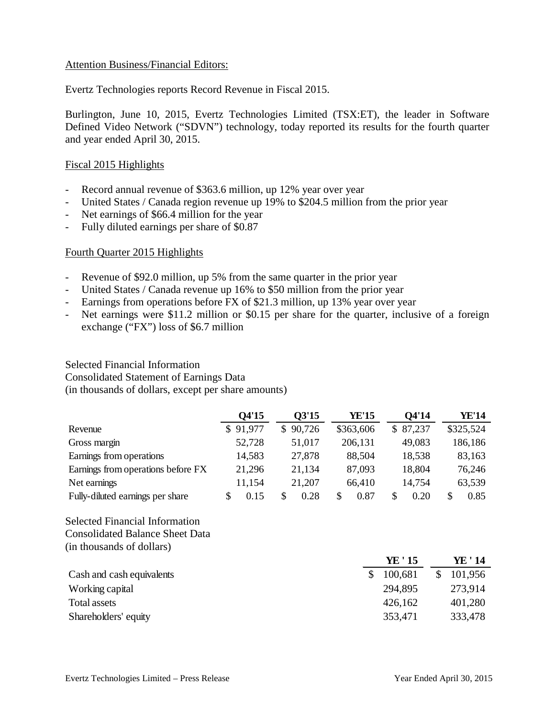## Attention Business/Financial Editors:

Evertz Technologies reports Record Revenue in Fiscal 2015.

Burlington, June 10, 2015, Evertz Technologies Limited (TSX:ET), the leader in Software Defined Video Network ("SDVN") technology, today reported its results for the fourth quarter and year ended April 30, 2015.

## Fiscal 2015 Highlights

- Record annual revenue of \$363.6 million, up 12% year over year
- United States / Canada region revenue up 19% to \$204.5 million from the prior year
- Net earnings of \$66.4 million for the year
- Fully diluted earnings per share of \$0.87

# Fourth Quarter 2015 Highlights

- Revenue of \$92.0 million, up 5% from the same quarter in the prior year
- United States / Canada revenue up 16% to \$50 million from the prior year
- Earnings from operations before FX of \$21.3 million, up 13% year over year
- Net earnings were \$11.2 million or \$0.15 per share for the quarter, inclusive of a foreign exchange ("FX") loss of \$6.7 million

#### Selected Financial Information

Consolidated Statement of Earnings Data

(in thousands of dollars, except per share amounts)

|                                    | 04'15    | 03'15        | YE'15     | O4'14     | YE'14     |
|------------------------------------|----------|--------------|-----------|-----------|-----------|
| Revenue                            | \$91,977 | 90,726<br>\$ | \$363,606 | \$87,237  | \$325,524 |
| Gross margin                       | 52,728   | 51,017       | 206,131   | 49,083    | 186,186   |
| Earnings from operations           | 14,583   | 27,878       | 88,504    | 18,538    | 83,163    |
| Earnings from operations before FX | 21,296   | 21,134       | 87,093    | 18,804    | 76,246    |
| Net earnings                       | 11,154   | 21,207       | 66,410    | 14,754    | 63,539    |
| Fully-diluted earnings per share   | 0.15     | S<br>0.28    | 0.87<br>S | 0.20<br>S | 0.85      |

Selected Financial Information Consolidated Balance Sheet Data

(in thousands of dollars)

|                           | YE ' 15 | YE ' 14 |
|---------------------------|---------|---------|
| Cash and cash equivalents | 100,681 | 101,956 |
| Working capital           | 294,895 | 273,914 |
| Total assets              | 426,162 | 401,280 |
| Shareholders' equity      | 353,471 | 333,478 |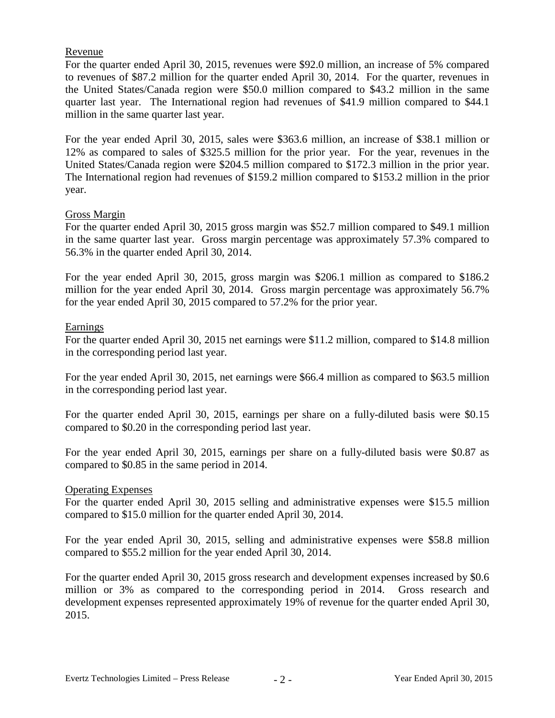# Revenue

For the quarter ended April 30, 2015, revenues were \$92.0 million, an increase of 5% compared to revenues of \$87.2 million for the quarter ended April 30, 2014. For the quarter, revenues in the United States/Canada region were \$50.0 million compared to \$43.2 million in the same quarter last year. The International region had revenues of \$41.9 million compared to \$44.1 million in the same quarter last year.

For the year ended April 30, 2015, sales were \$363.6 million, an increase of \$38.1 million or 12% as compared to sales of \$325.5 million for the prior year. For the year, revenues in the United States/Canada region were \$204.5 million compared to \$172.3 million in the prior year. The International region had revenues of \$159.2 million compared to \$153.2 million in the prior year.

#### Gross Margin

For the quarter ended April 30, 2015 gross margin was \$52.7 million compared to \$49.1 million in the same quarter last year. Gross margin percentage was approximately 57.3% compared to 56.3% in the quarter ended April 30, 2014.

For the year ended April 30, 2015, gross margin was \$206.1 million as compared to \$186.2 million for the year ended April 30, 2014. Gross margin percentage was approximately 56.7% for the year ended April 30, 2015 compared to 57.2% for the prior year.

# Earnings

For the quarter ended April 30, 2015 net earnings were \$11.2 million, compared to \$14.8 million in the corresponding period last year.

For the year ended April 30, 2015, net earnings were \$66.4 million as compared to \$63.5 million in the corresponding period last year.

For the quarter ended April 30, 2015, earnings per share on a fully-diluted basis were \$0.15 compared to \$0.20 in the corresponding period last year.

For the year ended April 30, 2015, earnings per share on a fully-diluted basis were \$0.87 as compared to \$0.85 in the same period in 2014.

#### Operating Expenses

For the quarter ended April 30, 2015 selling and administrative expenses were \$15.5 million compared to \$15.0 million for the quarter ended April 30, 2014.

For the year ended April 30, 2015, selling and administrative expenses were \$58.8 million compared to \$55.2 million for the year ended April 30, 2014.

For the quarter ended April 30, 2015 gross research and development expenses increased by \$0.6 million or 3% as compared to the corresponding period in 2014. Gross research and development expenses represented approximately 19% of revenue for the quarter ended April 30, 2015.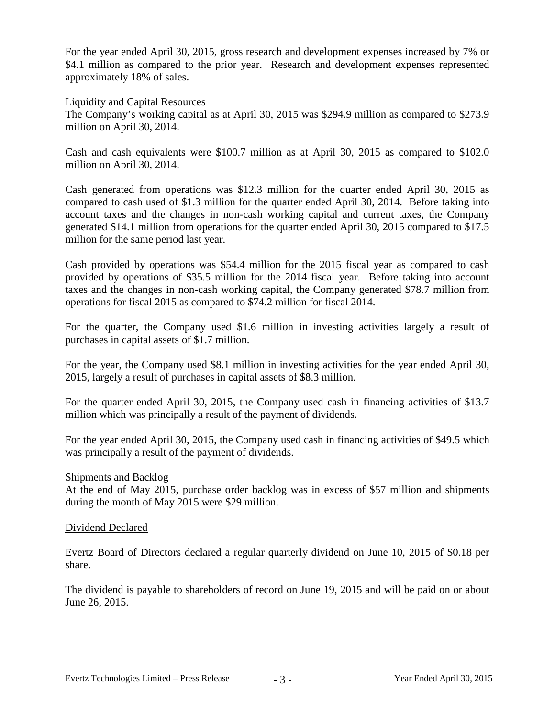For the year ended April 30, 2015, gross research and development expenses increased by 7% or \$4.1 million as compared to the prior year. Research and development expenses represented approximately 18% of sales.

#### Liquidity and Capital Resources

The Company's working capital as at April 30, 2015 was \$294.9 million as compared to \$273.9 million on April 30, 2014.

Cash and cash equivalents were \$100.7 million as at April 30, 2015 as compared to \$102.0 million on April 30, 2014.

Cash generated from operations was \$12.3 million for the quarter ended April 30, 2015 as compared to cash used of \$1.3 million for the quarter ended April 30, 2014. Before taking into account taxes and the changes in non-cash working capital and current taxes, the Company generated \$14.1 million from operations for the quarter ended April 30, 2015 compared to \$17.5 million for the same period last year.

Cash provided by operations was \$54.4 million for the 2015 fiscal year as compared to cash provided by operations of \$35.5 million for the 2014 fiscal year. Before taking into account taxes and the changes in non-cash working capital, the Company generated \$78.7 million from operations for fiscal 2015 as compared to \$74.2 million for fiscal 2014.

For the quarter, the Company used \$1.6 million in investing activities largely a result of purchases in capital assets of \$1.7 million.

For the year, the Company used \$8.1 million in investing activities for the year ended April 30, 2015, largely a result of purchases in capital assets of \$8.3 million.

For the quarter ended April 30, 2015, the Company used cash in financing activities of \$13.7 million which was principally a result of the payment of dividends.

For the year ended April 30, 2015, the Company used cash in financing activities of \$49.5 which was principally a result of the payment of dividends.

#### Shipments and Backlog

At the end of May 2015, purchase order backlog was in excess of \$57 million and shipments during the month of May 2015 were \$29 million.

#### Dividend Declared

Evertz Board of Directors declared a regular quarterly dividend on June 10, 2015 of \$0.18 per share.

The dividend is payable to shareholders of record on June 19, 2015 and will be paid on or about June 26, 2015.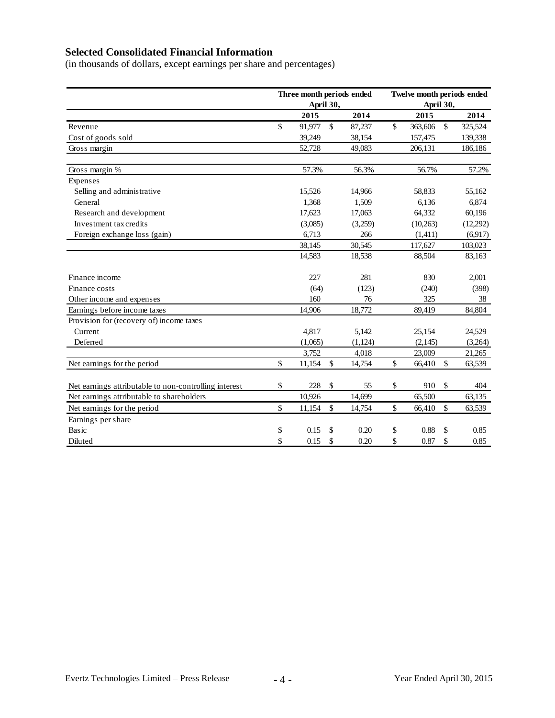# **Selected Consolidated Financial Information**

(in thousands of dollars, except earnings per share and percentages)

|                                                       | Three month periods ended<br>April 30, |              | Twelve month periods ended<br>April 30, |    |          |                    |          |
|-------------------------------------------------------|----------------------------------------|--------------|-----------------------------------------|----|----------|--------------------|----------|
|                                                       | 2015                                   |              | 2014                                    |    | 2015     |                    | 2014     |
| Revenue                                               | \$<br>91,977                           | $\mathbb{S}$ | 87,237                                  | \$ | 363,606  | $\mathbb{S}$       | 325,524  |
| Cost of goods sold                                    | 39,249                                 |              | 38,154                                  |    | 157,475  |                    | 139,338  |
| Gross margin                                          | 52,728                                 |              | 49,083                                  |    | 206,131  |                    | 186,186  |
| Gross margin %                                        | 57.3%                                  |              | 56.3%                                   |    | 56.7%    |                    | 57.2%    |
| Expenses                                              |                                        |              |                                         |    |          |                    |          |
| Selling and administrative                            | 15,526                                 |              | 14,966                                  |    | 58,833   |                    | 55,162   |
| General                                               | 1,368                                  |              | 1,509                                   |    | 6,136    |                    | 6,874    |
| Research and development                              | 17,623                                 |              | 17,063                                  |    | 64,332   |                    | 60,196   |
| Investment tax credits                                | (3,085)                                |              | (3,259)                                 |    | (10,263) |                    | (12,292) |
| Foreign exchange loss (gain)                          | 6,713                                  |              | 266                                     |    | (1,411)  |                    | (6,917)  |
|                                                       | 38,145                                 |              | 30,545                                  |    | 117,627  |                    | 103,023  |
|                                                       | 14,583                                 |              | 18,538                                  |    | 88,504   |                    | 83,163   |
| Finance income                                        | 227                                    |              | 281                                     |    | 830      |                    | 2,001    |
| Finance costs                                         | (64)                                   |              | (123)                                   |    | (240)    |                    | (398)    |
| Other income and expenses                             | 160                                    |              | 76                                      |    | 325      |                    | 38       |
| Earnings before income taxes                          | 14,906                                 |              | 18,772                                  |    | 89,419   |                    | 84,804   |
| Provision for (recovery of) income taxes              |                                        |              |                                         |    |          |                    |          |
| Current                                               | 4,817                                  |              | 5,142                                   |    | 25,154   |                    | 24,529   |
| Deferred                                              | (1,065)                                |              | (1, 124)                                |    | (2,145)  |                    | (3,264)  |
|                                                       | 3,752                                  |              | 4,018                                   |    | 23,009   |                    | 21,265   |
| Net earnings for the period                           | \$<br>11,154                           | \$           | 14,754                                  | \$ | 66,410   | \$                 | 63,539   |
| Net earnings attributable to non-controlling interest | \$<br>228                              | \$           | 55                                      | \$ | 910      | \$                 | 404      |
| Net earnings attributable to shareholders             | 10,926                                 |              | 14,699                                  |    | 65,500   |                    | 63,135   |
| Net earnings for the period                           | \$<br>11,154                           | $\mathbb{S}$ | 14,754                                  | \$ | 66,410   | $\mathbf{\hat{S}}$ | 63,539   |
| Earnings per share                                    |                                        |              |                                         |    |          |                    |          |
| Basic                                                 | \$<br>0.15                             | \$           | 0.20                                    | \$ | 0.88     | \$                 | 0.85     |
| Diluted                                               | \$<br>0.15                             | \$           | 0.20                                    | \$ | 0.87     | \$                 | 0.85     |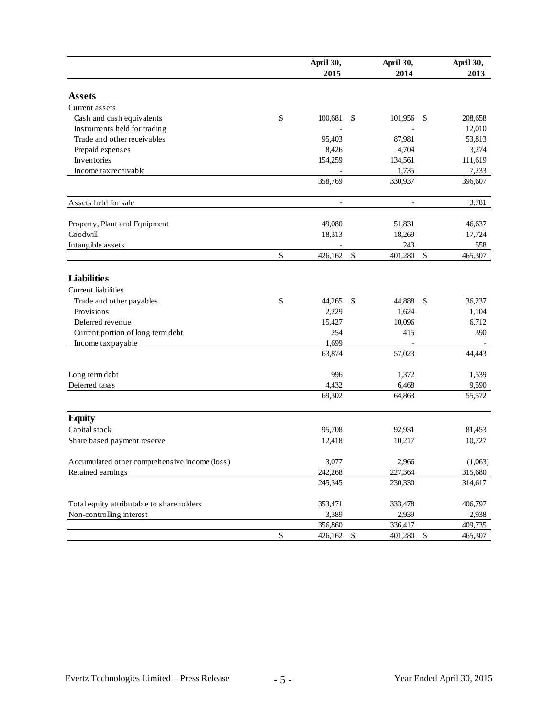|                                               | April 30,<br>2015 |               | April 30,<br>2014        |              | April 30,<br>2013 |
|-----------------------------------------------|-------------------|---------------|--------------------------|--------------|-------------------|
| <b>Assets</b>                                 |                   |               |                          |              |                   |
| Current assets                                |                   |               |                          |              |                   |
| Cash and cash equivalents                     | \$<br>100,681     | \$            | 101,956                  | \$           | 208,658           |
| Instruments held for trading                  |                   |               |                          |              | 12,010            |
| Trade and other receivables                   | 95,403            |               | 87,981                   |              | 53,813            |
| Prepaid expenses                              | 8,426             |               | 4,704                    |              | 3,274             |
| Inventories                                   | 154,259           |               | 134,561                  |              | 111,619           |
| Income tax receivable                         |                   |               | 1,735                    |              | 7,233             |
|                                               | 358,769           |               | 330,937                  |              | 396,607           |
| Assets held for sale                          | $\frac{1}{2}$     |               | $\overline{\phantom{a}}$ |              | 3,781             |
| Property, Plant and Equipment                 | 49,080            |               | 51,831                   |              | 46,637            |
| Goodwill                                      | 18,313            |               | 18,269                   |              | 17,724            |
| Intangible assets                             |                   |               | 243                      |              | 558               |
|                                               | \$<br>426,162     | $\mathcal{S}$ | 401,280                  | \$           | 465,307           |
| <b>Liabilities</b>                            |                   |               |                          |              |                   |
| <b>Current</b> liabilities                    |                   |               |                          |              |                   |
| Trade and other payables                      | \$<br>44,265      | \$            | 44,888                   | \$           | 36,237            |
| Provisions                                    | 2,229             |               | 1,624                    |              | 1,104             |
| Deferred revenue                              | 15,427            |               | 10,096                   |              | 6,712             |
| Current portion of long term debt             | 254               |               | 415                      |              | 390               |
| Income tax payable                            | 1,699             |               |                          |              |                   |
|                                               | 63,874            |               | 57,023                   |              | 44,443            |
| Long term debt                                | 996               |               | 1,372                    |              | 1,539             |
| Deferred taxes                                | 4,432             |               | 6,468                    |              | 9,590             |
|                                               | 69,302            |               | 64,863                   |              | 55,572            |
| <b>Equity</b>                                 |                   |               |                          |              |                   |
| Capital stock                                 | 95,708            |               | 92,931                   |              | 81,453            |
| Share based payment reserve                   | 12,418            |               | 10,217                   |              | 10,727            |
| Accumulated other comprehensive income (loss) | 3,077             |               | 2,966                    |              | (1,063)           |
| Retained earnings                             | 242,268           |               | 227,364                  |              | 315,680           |
|                                               | 245,345           |               | 230,330                  |              | 314,617           |
| Total equity attributable to shareholders     | 353,471           |               | 333,478                  |              | 406,797           |
| Non-controlling interest                      | 3,389             |               | 2,939                    |              | 2,938             |
|                                               | 356,860           |               | 336,417                  |              | 409,735           |
|                                               | \$<br>426,162     | $\mathbb{S}$  | 401,280                  | $\mathbb{S}$ | 465,307           |